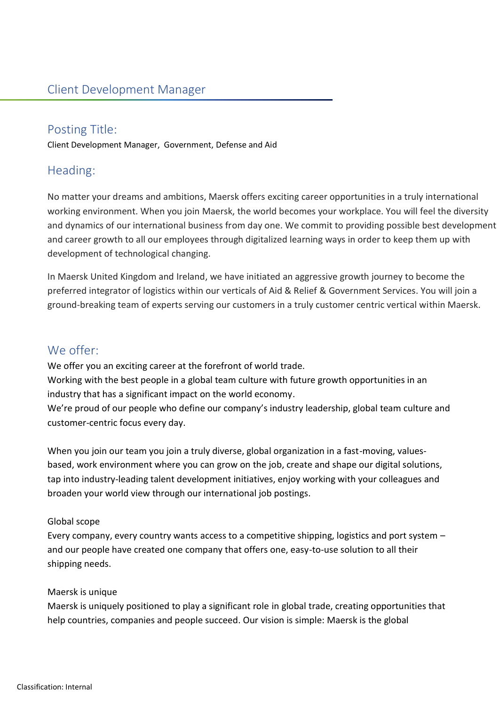## Posting Title:

Client Development Manager, Government, Defense and Aid

# Heading:

No matter your dreams and ambitions, Maersk offers exciting career opportunities in a truly international working environment. When you join Maersk, the world becomes your workplace. You will feel the diversity and dynamics of our international business from day one. We commit to providing possible best development and career growth to all our employees through digitalized learning ways in order to keep them up with development of technological changing.

In Maersk United Kingdom and Ireland, we have initiated an aggressive growth journey to become the preferred integrator of logistics within our verticals of Aid & Relief & Government Services. You will join a ground-breaking team of experts serving our customers in a truly customer centric vertical within Maersk.

## We offer:

We offer you an exciting career at the forefront of world trade. Working with the best people in a global team culture with future growth opportunities in an industry that has a significant impact on the world economy.

We're proud of our people who define our company's industry leadership, global team culture and customer-centric focus every day.

When you join our team you join a truly diverse, global organization in a fast-moving, valuesbased, work environment where you can grow on the job, create and shape our digital solutions, tap into industry-leading talent development initiatives, enjoy working with your colleagues and broaden your world view through our international job postings.

### Global scope

Every company, every country wants access to a competitive shipping, logistics and port system – and our people have created one company that offers one, easy-to-use solution to all their shipping needs.

### Maersk is unique

Maersk is uniquely positioned to play a significant role in global trade, creating opportunities that help countries, companies and people succeed. Our vision is simple: Maersk is the global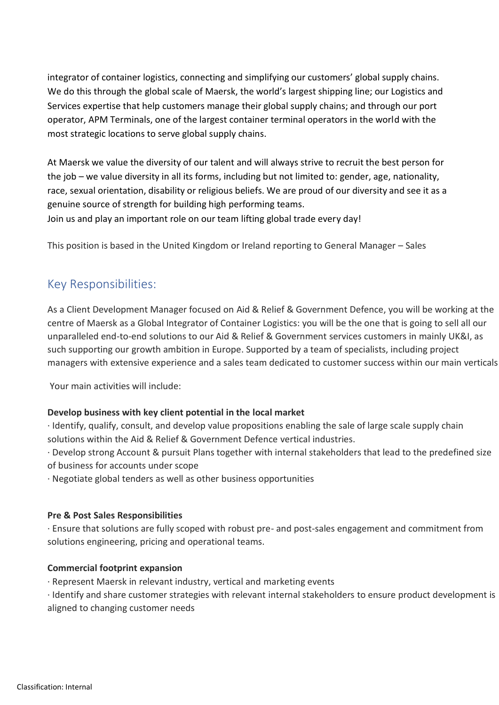integrator of container logistics, connecting and simplifying our customers' global supply chains. We do this through the global scale of Maersk, the world's largest shipping line; our Logistics and Services expertise that help customers manage their global supply chains; and through our port operator, APM Terminals, one of the largest container terminal operators in the world with the most strategic locations to serve global supply chains.

At Maersk we value the diversity of our talent and will always strive to recruit the best person for the job – we value diversity in all its forms, including but not limited to: gender, age, nationality, race, sexual orientation, disability or religious beliefs. We are proud of our diversity and see it as a genuine source of strength for building high performing teams. Join us and play an important role on our team lifting global trade every day!

This position is based in the United Kingdom or Ireland reporting to General Manager – Sales

## Key Responsibilities:

As a Client Development Manager focused on Aid & Relief & Government Defence, you will be working at the centre of Maersk as a Global Integrator of Container Logistics: you will be the one that is going to sell all our unparalleled end-to-end solutions to our Aid & Relief & Government services customers in mainly UK&I, as such supporting our growth ambition in Europe. Supported by a team of specialists, including project managers with extensive experience and a sales team dedicated to customer success within our main verticals

Your main activities will include:

#### **Develop business with key client potential in the local market**

· Identify, qualify, consult, and develop value propositions enabling the sale of large scale supply chain solutions within the Aid & Relief & Government Defence vertical industries.

· Develop strong Account & pursuit Plans together with internal stakeholders that lead to the predefined size of business for accounts under scope

· Negotiate global tenders as well as other business opportunities

#### **Pre & Post Sales Responsibilities**

· Ensure that solutions are fully scoped with robust pre- and post-sales engagement and commitment from solutions engineering, pricing and operational teams.

#### **Commercial footprint expansion**

· Represent Maersk in relevant industry, vertical and marketing events

· Identify and share customer strategies with relevant internal stakeholders to ensure product development is aligned to changing customer needs